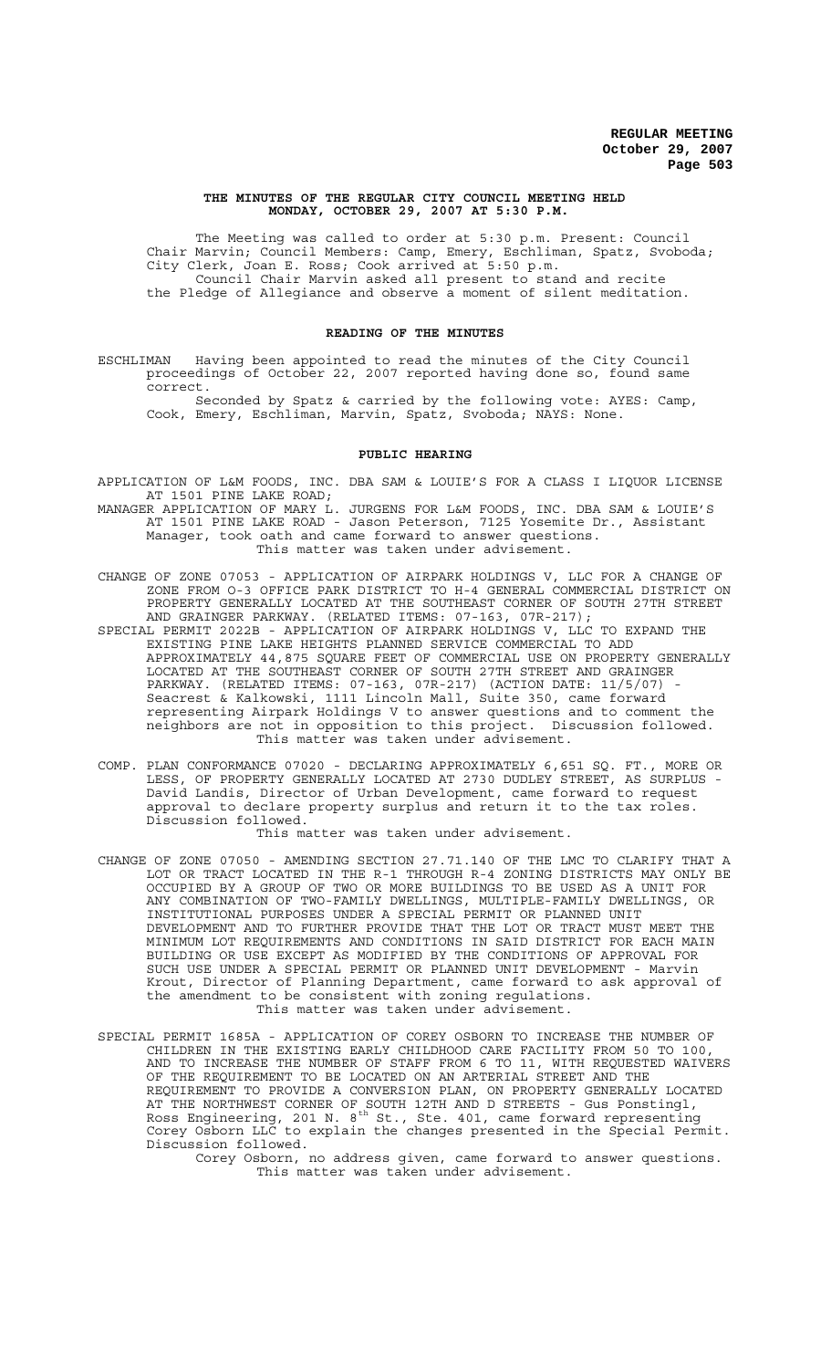### **THE MINUTES OF THE REGULAR CITY COUNCIL MEETING HELD MONDAY, OCTOBER 29, 2007 AT 5:30 P.M.**

The Meeting was called to order at 5:30 p.m. Present: Council Chair Marvin; Council Members: Camp, Emery, Eschliman, Spatz, Svoboda; City Clerk, Joan E. Ross; Cook arrived at 5:50 p.m. Council Chair Marvin asked all present to stand and recite the Pledge of Allegiance and observe a moment of silent meditation.

### **READING OF THE MINUTES**

ESCHLIMAN Having been appointed to read the minutes of the City Council proceedings of October 22, 2007 reported having done so, found same correct.

Seconded by Spatz & carried by the following vote: AYES: Camp, Cook, Emery, Eschliman, Marvin, Spatz, Svoboda; NAYS: None.

### **PUBLIC HEARING**

- APPLICATION OF L&M FOODS, INC. DBA SAM & LOUIE'S FOR A CLASS I LIQUOR LICENSE AT 1501 PINE LAKE ROAD;
- MANAGER APPLICATION OF MARY L. JURGENS FOR L&M FOODS, INC. DBA SAM & LOUIE'S AT 1501 PINE LAKE ROAD - Jason Peterson, 7125 Yosemite Dr., Assistant Manager, took oath and came forward to answer questions. This matter was taken under advisement.
- CHANGE OF ZONE 07053 APPLICATION OF AIRPARK HOLDINGS V, LLC FOR A CHANGE OF ZONE FROM O-3 OFFICE PARK DISTRICT TO H-4 GENERAL COMMERCIAL DISTRICT ON PROPERTY GENERALLY LOCATED AT THE SOUTHEAST CORNER OF SOUTH 27TH STREET AND GRAINGER PARKWAY. (RELATED ITEMS: 07-163, 07R-217);
- SPECIAL PERMIT 2022B APPLICATION OF AIRPARK HOLDINGS V, LLC TO EXPAND THE EXISTING PINE LAKE HEIGHTS PLANNED SERVICE COMMERCIAL TO ADD APPROXIMATELY 44,875 SQUARE FEET OF COMMERCIAL USE ON PROPERTY GENERALLY LOCATED AT THE SOUTHEAST CORNER OF SOUTH 27TH STREET AND GRAINGER PARKWAY. (RELATED ITEMS: 07-163, 07R-217) (ACTION DATE: 11/5/07) - Seacrest & Kalkowski, 1111 Lincoln Mall, Suite 350, came forward representing Airpark Holdings V to answer questions and to comment the neighbors are not in opposition to this project. Discussion followed. This matter was taken under advisement.
- COMP. PLAN CONFORMANCE 07020 DECLARING APPROXIMATELY 6,651 SQ. FT., MORE OR LESS, OF PROPERTY GENERALLY LOCATED AT 2730 DUDLEY STREET, AS SURPLUS - David Landis, Director of Urban Development, came forward to request approval to declare property surplus and return it to the tax roles. Discussion followed.

This matter was taken under advisement.

- CHANGE OF ZONE 07050 AMENDING SECTION 27.71.140 OF THE LMC TO CLARIFY THAT A LOT OR TRACT LOCATED IN THE R-1 THROUGH R-4 ZONING DISTRICTS MAY ONLY BE OCCUPIED BY A GROUP OF TWO OR MORE BUILDINGS TO BE USED AS A UNIT FOR ANY COMBINATION OF TWO-FAMILY DWELLINGS, MULTIPLE-FAMILY DWELLINGS, OR INSTITUTIONAL PURPOSES UNDER A SPECIAL PERMIT OR PLANNED UNIT DEVELOPMENT AND TO FURTHER PROVIDE THAT THE LOT OR TRACT MUST MEET THE MINIMUM LOT REQUIREMENTS AND CONDITIONS IN SAID DISTRICT FOR EACH MAIN BUILDING OR USE EXCEPT AS MODIFIED BY THE CONDITIONS OF APPROVAL FOR SUCH USE UNDER A SPECIAL PERMIT OR PLANNED UNIT DEVELOPMENT - Marvin Krout, Director of Planning Department, came forward to ask approval of the amendment to be consistent with zoning regulations. This matter was taken under advisement.
- SPECIAL PERMIT 1685A APPLICATION OF COREY OSBORN TO INCREASE THE NUMBER OF CHILDREN IN THE EXISTING EARLY CHILDHOOD CARE FACILITY FROM 50 TO 100, AND TO INCREASE THE NUMBER OF STAFF FROM 6 TO 11, WITH REQUESTED WAIVERS OF THE REQUIREMENT TO BE LOCATED ON AN ARTERIAL STREET AND THE REQUIREMENT TO PROVIDE A CONVERSION PLAN, ON PROPERTY GENERALLY LOCATED AT THE NORTHWEST CORNER OF SOUTH 12TH AND D STREETS - Gus Ponstingl, Ross Engineering, 201 N.  $8^{\text{th}}$  St., Ste. 401, came forward representing Corey Osborn LLC to explain the changes presented in the Special Permit. Discussion followed.

Corey Osborn, no address given, came forward to answer questions. This matter was taken under advisement.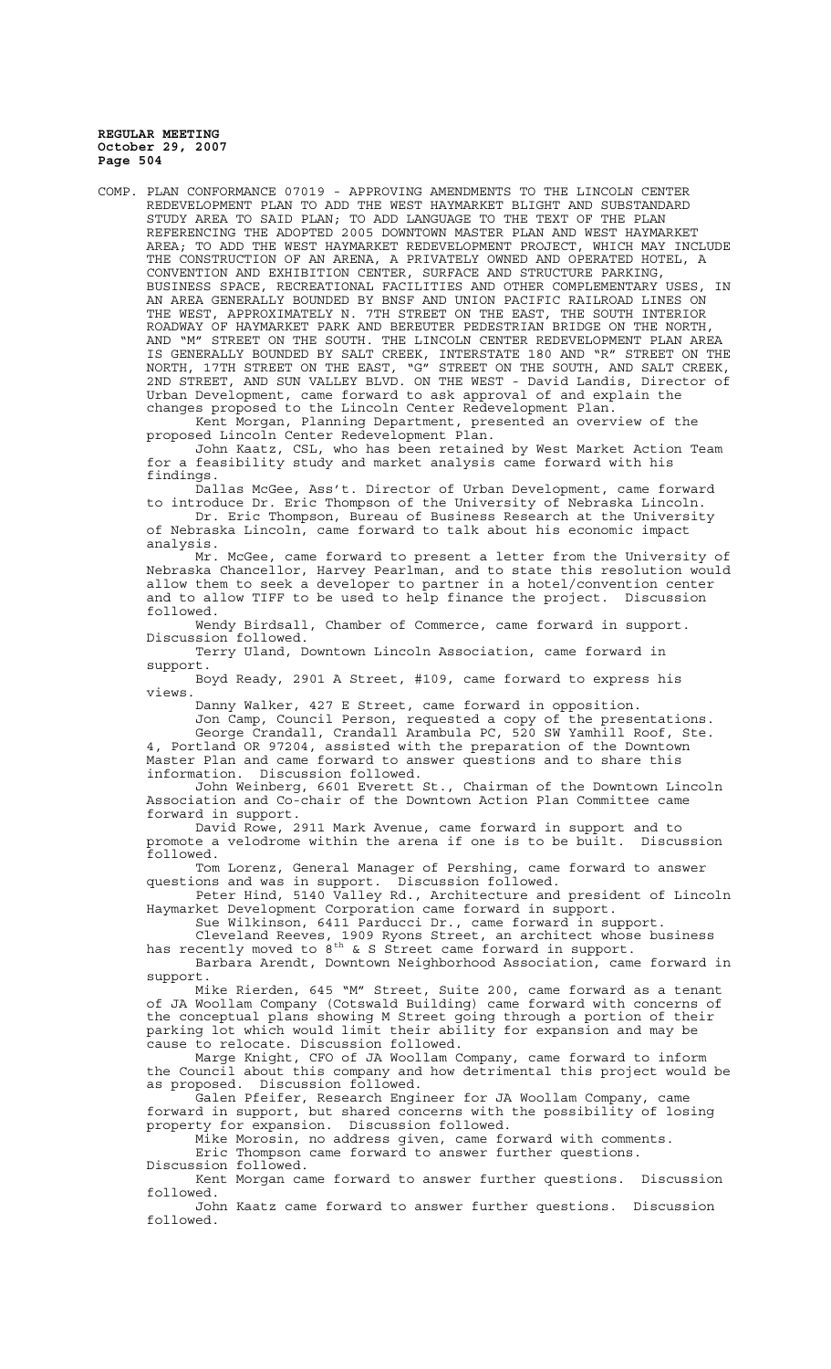COMP. PLAN CONFORMANCE 07019 - APPROVING AMENDMENTS TO THE LINCOLN CENTER REDEVELOPMENT PLAN TO ADD THE WEST HAYMARKET BLIGHT AND SUBSTANDARD STUDY AREA TO SAID PLAN; TO ADD LANGUAGE TO THE TEXT OF THE PLAN REFERENCING THE ADOPTED 2005 DOWNTOWN MASTER PLAN AND WEST HAYMARKET AREA; TO ADD THE WEST HAYMARKET REDEVELOPMENT PROJECT, WHICH MAY INCLUDE THE CONSTRUCTION OF AN ARENA, A PRIVATELY OWNED AND OPERATED HOTEL, A CONVENTION AND EXHIBITION CENTER, SURFACE AND STRUCTURE PARKING, BUSINESS SPACE, RECREATIONAL FACILITIES AND OTHER COMPLEMENTARY USES, IN AN AREA GENERALLY BOUNDED BY BNSF AND UNION PACIFIC RAILROAD LINES ON THE WEST, APPROXIMATELY N. 7TH STREET ON THE EAST, THE SOUTH INTERIOR ROADWAY OF HAYMARKET PARK AND BEREUTER PEDESTRIAN BRIDGE ON THE NORTH, AND "M" STREET ON THE SOUTH. THE LINCOLN CENTER REDEVELOPMENT PLAN AREA IS GENERALLY BOUNDED BY SALT CREEK, INTERSTATE 180 AND "R" STREET ON THE NORTH, 17TH STREET ON THE EAST, "G" STREET ON THE SOUTH, AND SALT CREEK, 2ND STREET, AND SUN VALLEY BLVD. ON THE WEST - David Landis, Director of Urban Development, came forward to ask approval of and explain the changes proposed to the Lincoln Center Redevelopment Plan.

Kent Morgan, Planning Department, presented an overview of the proposed Lincoln Center Redevelopment Plan.

John Kaatz, CSL, who has been retained by West Market Action Team for a feasibility study and market analysis came forward with his findings.

Dallas McGee, Ass't. Director of Urban Development, came forward to introduce Dr. Eric Thompson of the University of Nebraska Lincoln. Dr. Eric Thompson, Bureau of Business Research at the University of Nebraska Lincoln, came forward to talk about his economic impact

analysis. Mr. McGee, came forward to present a letter from the University of Nebraska Chancellor, Harvey Pearlman, and to state this resolution would allow them to seek a developer to partner in a hotel/convention center and to allow TIFF to be used to help finance the project. Discussion followed.

Wendy Birdsall, Chamber of Commerce, came forward in support. Discussion followed.

Terry Uland, Downtown Lincoln Association, came forward in support.

Boyd Ready, 2901 A Street, #109, came forward to express his views.

Danny Walker, 427 E Street, came forward in opposition.

Jon Camp, Council Person, requested a copy of the presentations.

George Crandall, Crandall Arambula PC, 520 SW Yamhill Roof, Ste. 4, Portland OR 97204, assisted with the preparation of the Downtown Master Plan and came forward to answer questions and to share this information. Discussion followed.

John Weinberg, 6601 Everett St., Chairman of the Downtown Lincoln Association and Co-chair of the Downtown Action Plan Committee came forward in support.

David Rowe, 2911 Mark Avenue, came forward in support and to promote a velodrome within the arena if one is to be built. Discussion followed.

Tom Lorenz, General Manager of Pershing, came forward to answer questions and was in support. Discussion followed.

Peter Hind, 5140 Valley Rd., Architecture and president of Lincoln Haymarket Development Corporation came forward in support.

Sue Wilkinson, 6411 Parducci Dr., came forward in support. Cleveland Reeves, 1909 Ryons Street, an architect whose business has recently moved to  $8^{\text{th}}$  & S Street came forward in support.

Barbara Arendt, Downtown Neighborhood Association, came forward in support.

Mike Rierden, 645 "M" Street, Suite 200, came forward as a tenant of JA Woollam Company (Cotswald Building) came forward with concerns of the conceptual plans showing M Street going through a portion of their parking lot which would limit their ability for expansion and may be cause to relocate. Discussion followed.

Marge Knight, CFO of JA Woollam Company, came forward to inform the Council about this company and how detrimental this project would be as proposed. Discussion followed.

Galen Pfeifer, Research Engineer for JA Woollam Company, came forward in support, but shared concerns with the possibility of losing property for expansion. Discussion followed.

Mike Morosin, no address given, came forward with comments. Eric Thompson came forward to answer further questions. Discussion followed.

Kent Morgan came forward to answer further questions. Discussion followed.

John Kaatz came forward to answer further questions. Discussion followed.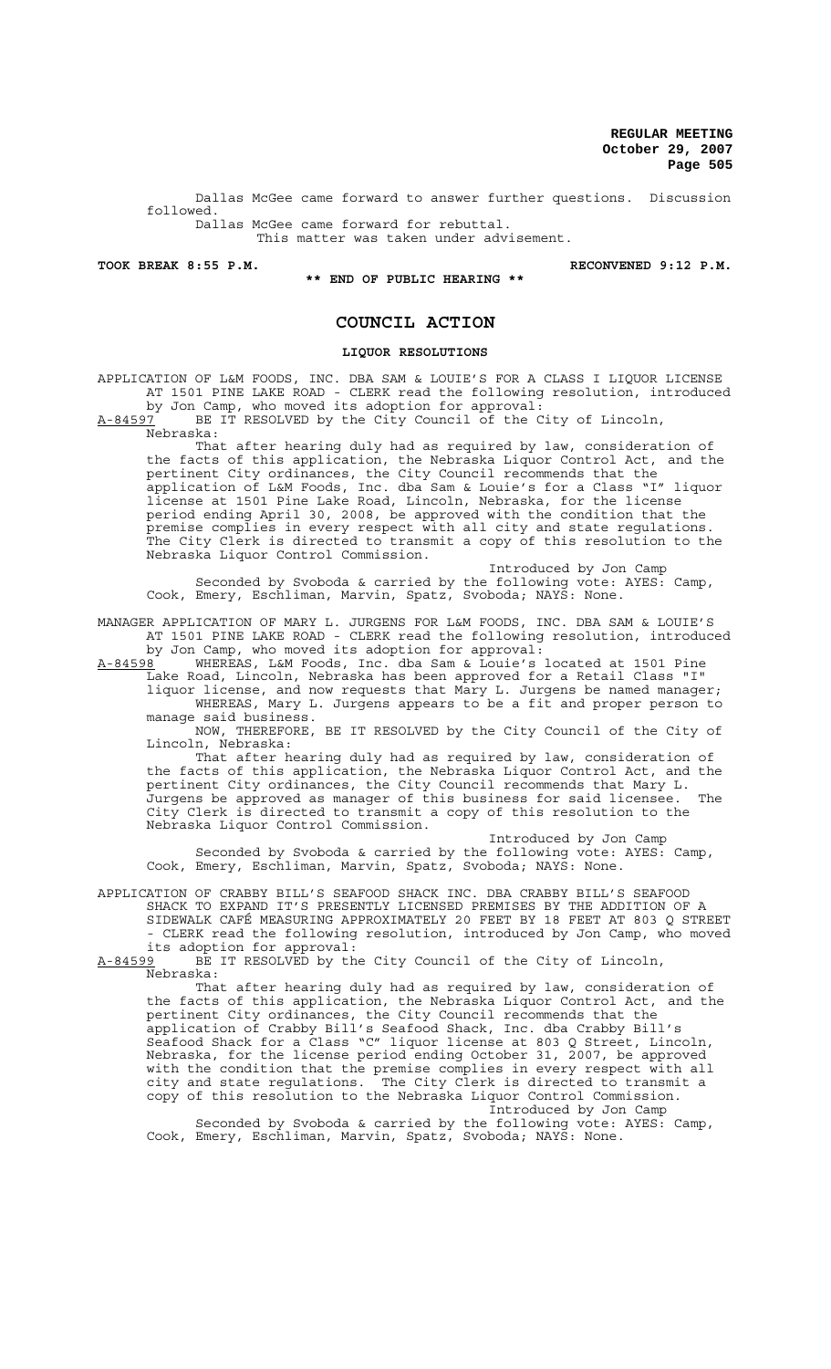Dallas McGee came forward to answer further questions. Discussion followed.

Dallas McGee came forward for rebuttal. This matter was taken under advisement.

**TOOK BREAK 8:55 P.M. RECONVENED 9:12 P.M.**

**\*\* END OF PUBLIC HEARING \*\***

## **COUNCIL ACTION**

## **LIQUOR RESOLUTIONS**

APPLICATION OF L&M FOODS, INC. DBA SAM & LOUIE'S FOR A CLASS I LIQUOR LICENSE AT 1501 PINE LAKE ROAD - CLERK read the following resolution, introduced by Jon Camp, who moved its adoption for approval:

A-84597 BE IT RESOLVED by the City Council of the City of Lincoln, Nebraska:

That after hearing duly had as required by law, consideration of the facts of this application, the Nebraska Liquor Control Act, and the pertinent City ordinances, the City Council recommends that the application of L&M Foods, Inc. dba Sam & Louie's for a Class "I" liquor license at 1501 Pine Lake Road, Lincoln, Nebraska, for the license period ending April 30, 2008, be approved with the condition that the premise complies in every respect with all city and state regulations. The City Clerk is directed to transmit a copy of this resolution to the Nebraska Liquor Control Commission.

Introduced by Jon Camp Seconded by Svoboda & carried by the following vote: AYES: Camp, Cook, Emery, Eschliman, Marvin, Spatz, Svoboda; NAYS: None.

MANAGER APPLICATION OF MARY L. JURGENS FOR L&M FOODS, INC. DBA SAM & LOUIE'S AT 1501 PINE LAKE ROAD - CLERK read the following resolution, introduced by Jon Camp, who moved its adoption for approval:

A-84598 WHEREAS, L&M Foods, Inc. dba Sam & Louie's located at 1501 Pine Lake Road, Lincoln, Nebraska has been approved for a Retail Class "I" liquor license, and now requests that Mary L. Jurgens be named manager; WHEREAS, Mary L. Jurgens appears to be a fit and proper person to manage said business.

NOW, THEREFORE, BE IT RESOLVED by the City Council of the City of Lincoln, Nebraska:

That after hearing duly had as required by law, consideration of the facts of this application, the Nebraska Liquor Control Act, and the pertinent City ordinances, the City Council recommends that Mary L. Jurgens be approved as manager of this business for said licensee. The City Clerk is directed to transmit a copy of this resolution to the Nebraska Liquor Control Commission.

Introduced by Jon Camp Seconded by Svoboda & carried by the following vote: AYES: Camp, Cook, Emery, Eschliman, Marvin, Spatz, Svoboda; NAYS: None.

APPLICATION OF CRABBY BILL'S SEAFOOD SHACK INC. DBA CRABBY BILL'S SEAFOOD SHACK TO EXPAND IT'S PRESENTLY LICENSED PREMISES BY THE ADDITION OF A SIDEWALK CAFÉ MEASURING APPROXIMATELY 20 FEET BY 18 FEET AT 803 Q STREET - CLERK read the following resolution, introduced by Jon Camp, who moved

its adoption for approval:<br>A-84599 BE IT RESOLVED by th BE IT RESOLVED by the City Council of the City of Lincoln, Nebraska:

That after hearing duly had as required by law, consideration of the facts of this application, the Nebraska Liquor Control Act, and the pertinent City ordinances, the City Council recommends that the application of Crabby Bill's Seafood Shack, Inc. dba Crabby Bill's Seafood Shack for a Class "C" liquor license at 803 Q Street, Lincoln, Nebraska, for the license period ending October 31, 2007, be approved with the condition that the premise complies in every respect with all city and state regulations. The City Clerk is directed to transmit a copy of this resolution to the Nebraska Liquor Control Commission. Introduced by Jon Camp

Seconded by Svoboda & carried by the following vote: AYES: Camp, Cook, Emery, Eschliman, Marvin, Spatz, Svoboda; NAYS: None.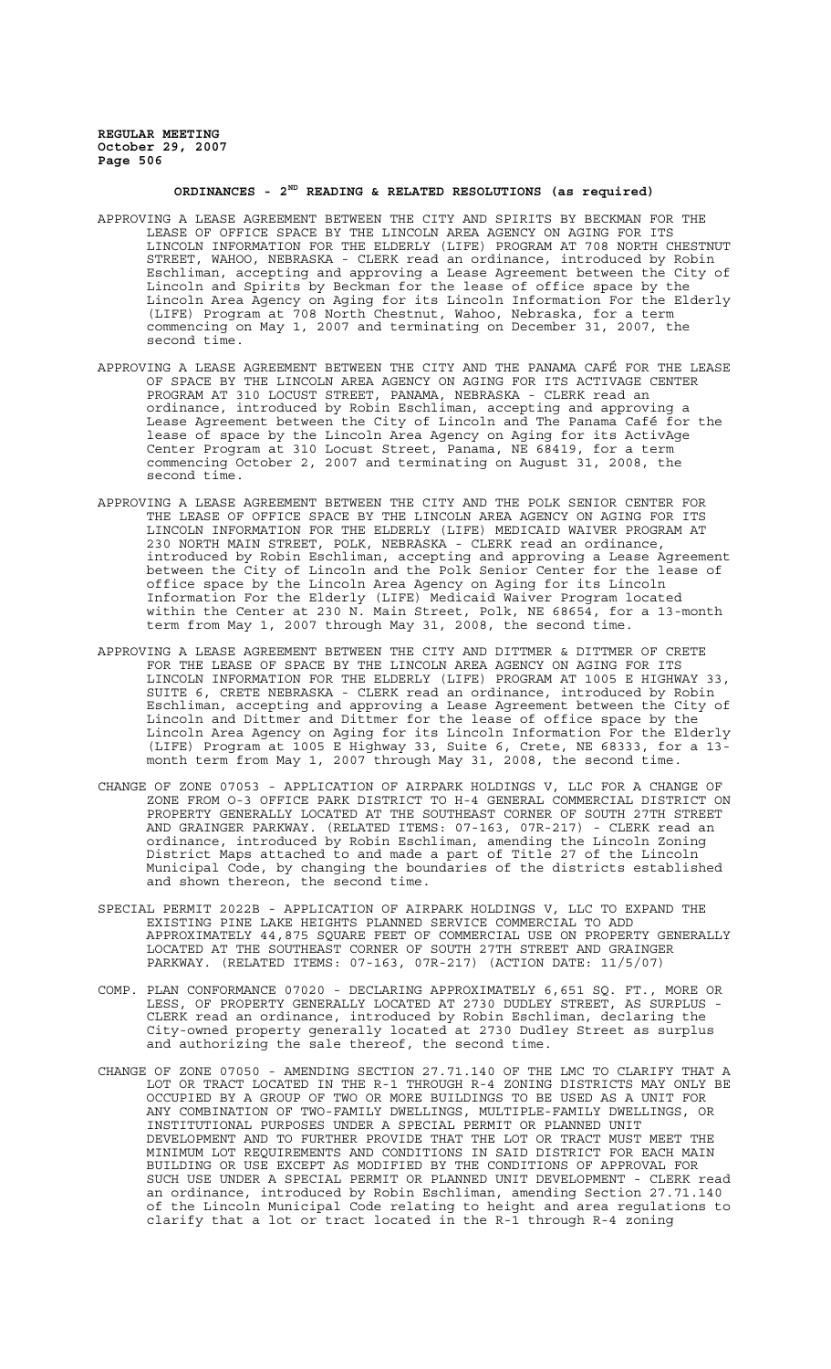# **ORDINANCES - 2ND READING & RELATED RESOLUTIONS (as required)**

- APPROVING A LEASE AGREEMENT BETWEEN THE CITY AND SPIRITS BY BECKMAN FOR THE LEASE OF OFFICE SPACE BY THE LINCOLN AREA AGENCY ON AGING FOR ITS LINCOLN INFORMATION FOR THE ELDERLY (LIFE) PROGRAM AT 708 NORTH CHESTNUT STREET, WAHOO, NEBRASKA - CLERK read an ordinance, introduced by Robin Eschliman, accepting and approving a Lease Agreement between the City of Lincoln and Spirits by Beckman for the lease of office space by the Lincoln Area Agency on Aging for its Lincoln Information For the Elderly (LIFE) Program at 708 North Chestnut, Wahoo, Nebraska, for a term commencing on May 1, 2007 and terminating on December 31, 2007, the second time.
- APPROVING A LEASE AGREEMENT BETWEEN THE CITY AND THE PANAMA CAFÉ FOR THE LEASE OF SPACE BY THE LINCOLN AREA AGENCY ON AGING FOR ITS ACTIVAGE CENTER PROGRAM AT 310 LOCUST STREET, PANAMA, NEBRASKA - CLERK read an ordinance, introduced by Robin Eschliman, accepting and approving a Lease Agreement between the City of Lincoln and The Panama Café for the lease of space by the Lincoln Area Agency on Aging for its ActivAge Center Program at 310 Locust Street, Panama, NE 68419, for a term commencing October 2, 2007 and terminating on August 31, 2008, the second time.
- APPROVING A LEASE AGREEMENT BETWEEN THE CITY AND THE POLK SENIOR CENTER FOR THE LEASE OF OFFICE SPACE BY THE LINCOLN AREA AGENCY ON AGING FOR ITS LINCOLN INFORMATION FOR THE ELDERLY (LIFE) MEDICAID WAIVER PROGRAM AT 230 NORTH MAIN STREET, POLK, NEBRASKA - CLERK read an ordinance, introduced by Robin Eschliman, accepting and approving a Lease Agreement between the City of Lincoln and the Polk Senior Center for the lease of office space by the Lincoln Area Agency on Aging for its Lincoln Information For the Elderly (LIFE) Medicaid Waiver Program located within the Center at 230 N. Main Street, Polk, NE 68654, for a 13-month term from May 1, 2007 through May 31, 2008, the second time.
- APPROVING A LEASE AGREEMENT BETWEEN THE CITY AND DITTMER & DITTMER OF CRETE FOR THE LEASE OF SPACE BY THE LINCOLN AREA AGENCY ON AGING FOR ITS LINCOLN INFORMATION FOR THE ELDERLY (LIFE) PROGRAM AT 1005 E HIGHWAY 33, SUITE 6, CRETE NEBRASKA - CLERK read an ordinance, introduced by Robin Eschliman, accepting and approving a Lease Agreement between the City of Lincoln and Dittmer and Dittmer for the lease of office space by the Lincoln Area Agency on Aging for its Lincoln Information For the Elderly (LIFE) Program at 1005 E Highway 33, Suite 6, Crete, NE 68333, for a 13 month term from May 1, 2007 through May 31, 2008, the second time.
- CHANGE OF ZONE 07053 APPLICATION OF AIRPARK HOLDINGS V, LLC FOR A CHANGE OF ZONE FROM O-3 OFFICE PARK DISTRICT TO H-4 GENERAL COMMERCIAL DISTRICT ON PROPERTY GENERALLY LOCATED AT THE SOUTHEAST CORNER OF SOUTH 27TH STREET AND GRAINGER PARKWAY. (RELATED ITEMS: 07-163, 07R-217) - CLERK read an ordinance, introduced by Robin Eschliman, amending the Lincoln Zoning District Maps attached to and made a part of Title 27 of the Lincoln Municipal Code, by changing the boundaries of the districts established and shown thereon, the second time.
- SPECIAL PERMIT 2022B APPLICATION OF AIRPARK HOLDINGS V, LLC TO EXPAND THE EXISTING PINE LAKE HEIGHTS PLANNED SERVICE COMMERCIAL TO ADD APPROXIMATELY 44,875 SQUARE FEET OF COMMERCIAL USE ON PROPERTY GENERALLY LOCATED AT THE SOUTHEAST CORNER OF SOUTH 27TH STREET AND GRAINGER PARKWAY. (RELATED ITEMS: 07-163, 07R-217) (ACTION DATE: 11/5/07)
- COMP. PLAN CONFORMANCE 07020 DECLARING APPROXIMATELY 6,651 SQ. FT., MORE OR LESS, OF PROPERTY GENERALLY LOCATED AT 2730 DUDLEY STREET, AS SURPLUS - CLERK read an ordinance, introduced by Robin Eschliman, declaring the City-owned property generally located at 2730 Dudley Street as surplus and authorizing the sale thereof, the second time.
- CHANGE OF ZONE 07050 AMENDING SECTION 27.71.140 OF THE LMC TO CLARIFY THAT A LOT OR TRACT LOCATED IN THE R-1 THROUGH R-4 ZONING DISTRICTS MAY ONLY BE OCCUPIED BY A GROUP OF TWO OR MORE BUILDINGS TO BE USED AS A UNIT FOR ANY COMBINATION OF TWO-FAMILY DWELLINGS, MULTIPLE-FAMILY DWELLINGS, OR INSTITUTIONAL PURPOSES UNDER A SPECIAL PERMIT OR PLANNED UNIT DEVELOPMENT AND TO FURTHER PROVIDE THAT THE LOT OR TRACT MUST MEET THE MINIMUM LOT REQUIREMENTS AND CONDITIONS IN SAID DISTRICT FOR EACH MAIN BUILDING OR USE EXCEPT AS MODIFIED BY THE CONDITIONS OF APPROVAL FOR SUCH USE UNDER A SPECIAL PERMIT OR PLANNED UNIT DEVELOPMENT - CLERK read an ordinance, introduced by Robin Eschliman, amending Section 27.71.140 of the Lincoln Municipal Code relating to height and area regulations to clarify that a lot or tract located in the R-1 through R-4 zoning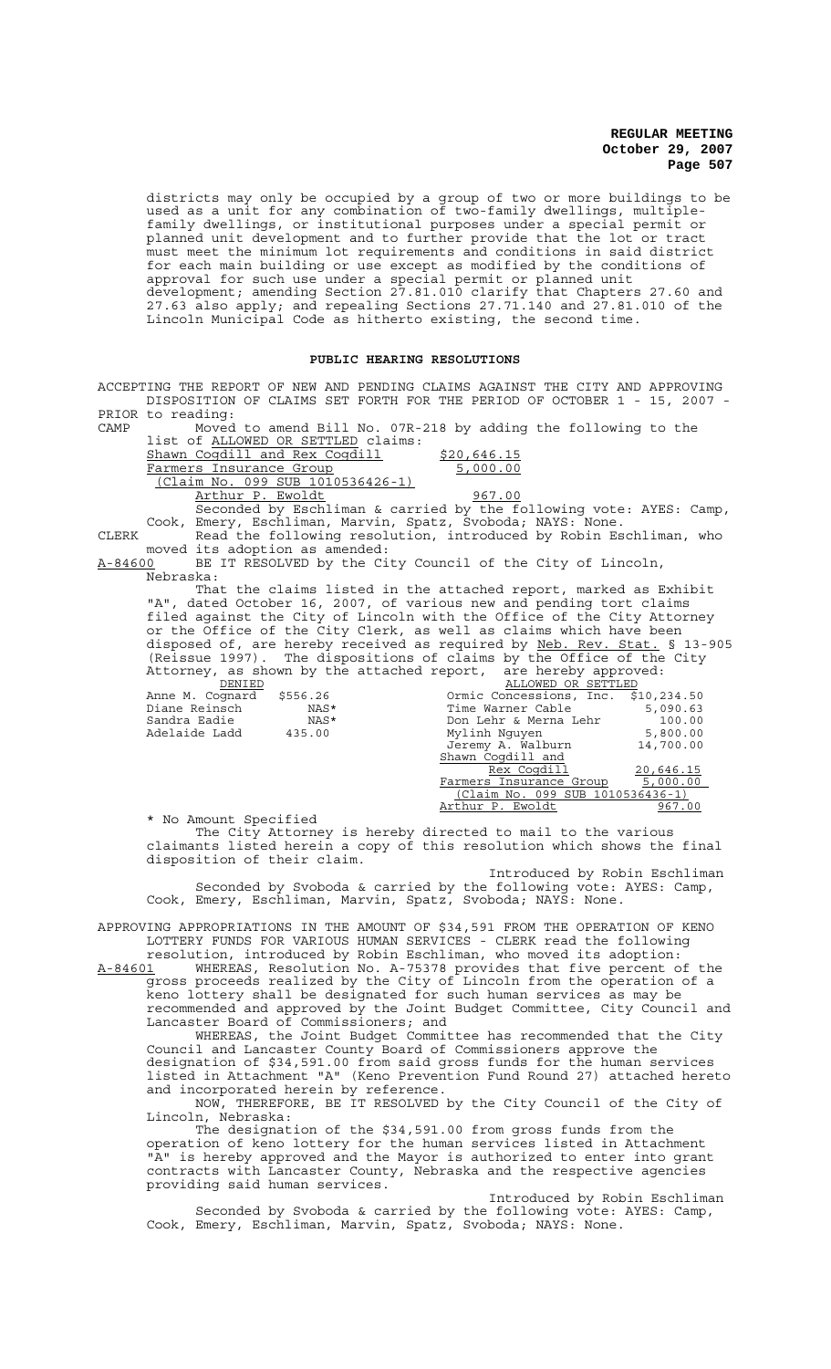districts may only be occupied by a group of two or more buildings to be used as a unit for any combination of two-family dwellings, multiplefamily dwellings, or institutional purposes under a special permit or planned unit development and to further provide that the lot or tract must meet the minimum lot requirements and conditions in said district for each main building or use except as modified by the conditions of approval for such use under a special permit or planned unit development; amending Section 27.81.010 clarify that Chapters 27.60 and 27.63 also apply; and repealing Sections 27.71.140 and 27.81.010 of the Lincoln Municipal Code as hitherto existing, the second time.

### **PUBLIC HEARING RESOLUTIONS**

ACCEPTING THE REPORT OF NEW AND PENDING CLAIMS AGAINST THE CITY AND APPROVING DISPOSITION OF CLAIMS SET FORTH FOR THE PERIOD OF OCTOBER 1 - 15, 2007 - PRIOR to reading:<br>CAMP Moved

Moved to amend Bill No. 07R-218 by adding the following to the list of ALLOWED OR SETTLED claims:

Shawn Coqdill and Rex Coqdill  $\frac{$20,646.15}{5,000.00}$ Farmers Insurance Group (Claim No. 099 SUB 1010536426-1)

Arthur P. Ewoldt 1967.00 Seconded by Eschliman & carried by the following vote: AYES: Camp, Cook, Emery, Eschliman, Marvin, Spatz, Svoboda; NAYS: None.

CLERK Read the following resolution, introduced by Robin Eschliman, who moved its adoption as amended:<br>A-84600 BE IT RESOLVED by the Ci

BE IT RESOLVED by the City Council of the City of Lincoln, Nebraska:

That the claims listed in the attached report, marked as Exhibit "A", dated October 16, 2007, of various new and pending tort claims filed against the City of Lincoln with the Office of the City Attorney or the Office of the City Clerk, as well as claims which have been disposed of, are hereby received as required by Neb. Rev. Stat. § 13-905 (Reissue 1997). The dispositions of claims by the Office of the City Attorney, as shown by the attached report, are hereby approved:

| DENIED          |          | ALLOWED OR SETTLED                  |           |
|-----------------|----------|-------------------------------------|-----------|
| Anne M. Cognard | \$556.26 | Ormic Concessions, Inc. \$10,234.50 |           |
| Diane Reinsch   | NAS*     | Time Warner Cable                   | 5,090.63  |
| Sandra Eadie    | NAS*     | Don Lehr & Merna Lehr               | 100.00    |
| Adelaide Ladd   | 435.00   | Mylinh Nguyen                       | 5,800.00  |
|                 |          | Jeremy A. Walburn                   | 14,700.00 |
|                 |          | Shawn Cogdill and                   |           |
|                 |          | Rex Cogdill                         | 20,646.15 |
|                 |          | Farmers Insurance Group             | 5,000.00  |
|                 |          | (Claim No. 099 SUB 1010536436-1)    |           |
|                 |          | Arthur P. Ewoldt                    | 967.00    |
|                 |          |                                     |           |

\* No Amount Specified

The City Attorney is hereby directed to mail to the various claimants listed herein a copy of this resolution which shows the final disposition of their claim.

Introduced by Robin Eschliman Seconded by Svoboda & carried by the following vote: AYES: Camp, Cook, Emery, Eschliman, Marvin, Spatz, Svoboda; NAYS: None.

APPROVING APPROPRIATIONS IN THE AMOUNT OF \$34,591 FROM THE OPERATION OF KENO LOTTERY FUNDS FOR VARIOUS HUMAN SERVICES - CLERK read the following

resolution, introduced by Robin Eschliman, who moved its adoption: A-84601 WHEREAS, Resolution No. A-75378 provides that five percent of the gross proceeds realized by the City of Lincoln from the operation of a keno lottery shall be designated for such human services as may be recommended and approved by the Joint Budget Committee, City Council and

Lancaster Board of Commissioners; and WHEREAS, the Joint Budget Committee has recommended that the City Council and Lancaster County Board of Commissioners approve the

designation of \$34,591.00 from said gross funds for the human services listed in Attachment "A" (Keno Prevention Fund Round 27) attached hereto and incorporated herein by reference.

NOW, THEREFORE, BE IT RESOLVED by the City Council of the City of Lincoln, Nebraska:

The designation of the \$34,591.00 from gross funds from the operation of keno lottery for the human services listed in Attachment "A" is hereby approved and the Mayor is authorized to enter into grant contracts with Lancaster County, Nebraska and the respective agencies providing said human services.

Introduced by Robin Eschliman Seconded by Svoboda & carried by the following vote: AYES: Camp, Cook, Emery, Eschliman, Marvin, Spatz, Svoboda; NAYS: None.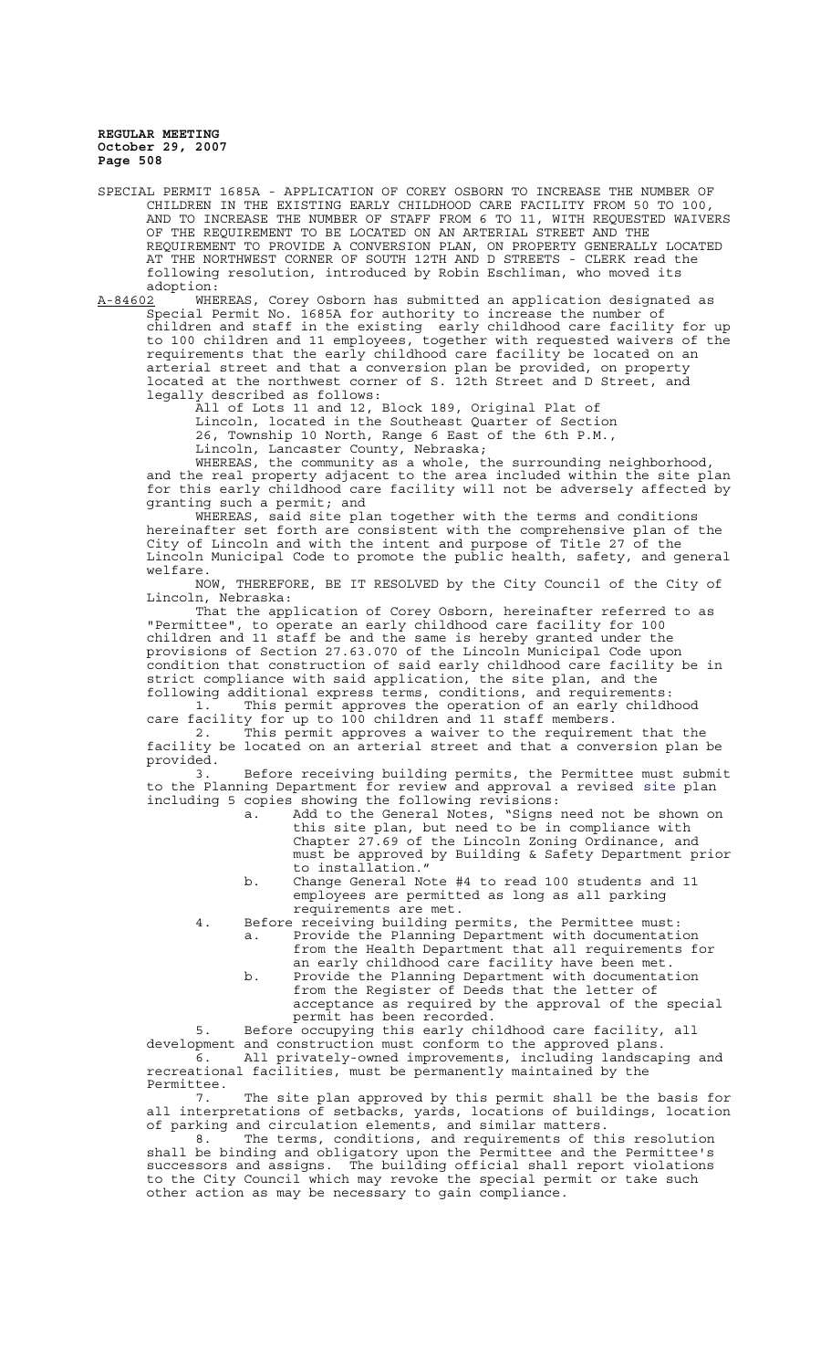SPECIAL PERMIT 1685A - APPLICATION OF COREY OSBORN TO INCREASE THE NUMBER OF CHILDREN IN THE EXISTING EARLY CHILDHOOD CARE FACILITY FROM 50 TO 100, AND TO INCREASE THE NUMBER OF STAFF FROM 6 TO 11, WITH REQUESTED WAIVERS OF THE REQUIREMENT TO BE LOCATED ON AN ARTERIAL STREET AND THE REQUIREMENT TO PROVIDE A CONVERSION PLAN, ON PROPERTY GENERALLY LOCATED AT THE NORTHWEST CORNER OF SOUTH 12TH AND D STREETS - CLERK read the following resolution, introduced by Robin Eschliman, who moved its adoption:

A-84602 MHEREAS, Corey Osborn has submitted an application designated as Special Permit No. 1685A for authority to increase the number of children and staff in the existing early childhood care facility for up to 100 children and 11 employees, together with requested waivers of the requirements that the early childhood care facility be located on an arterial street and that a conversion plan be provided, on property located at the northwest corner of S. 12th Street and D Street, and legally described as follows:

All of Lots 11 and 12, Block 189, Original Plat of Lincoln, located in the Southeast Quarter of Section 26, Township 10 North, Range 6 East of the 6th P.M., Lincoln, Lancaster County, Nebraska;

WHEREAS, the community as a whole, the surrounding neighborhood, and the real property adjacent to the area included within the site plan for this early childhood care facility will not be adversely affected by granting such a permit; and

WHEREAS, said site plan together with the terms and conditions hereinafter set forth are consistent with the comprehensive plan of the City of Lincoln and with the intent and purpose of Title 27 of the Lincoln Municipal Code to promote the public health, safety, and general welfare.<br>NOW,

THEREFORE, BE IT RESOLVED by the City Council of the City of Lincoln, Nebraska:

That the application of Corey Osborn, hereinafter referred to as "Permittee", to operate an early childhood care facility for 100 children and 11 staff be and the same is hereby granted under the provisions of Section 27.63.070 of the Lincoln Municipal Code upon condition that construction of said early childhood care facility be in strict compliance with said application, the site plan, and the following additional express terms, conditions, and requirements:

1. This permit approves the operation of an early childhood care facility for up to 100 children and 11 staff members.

2. This permit approves a waiver to the requirement that the facility be located on an arterial street and that a conversion plan be provided.

3. Before receiving building permits, the Permittee must submit to the Planning Department for review and approval a revised site plan including 5 copies showing the following revisions:

- a. Add to the General Notes, "Signs need not be shown on this site plan, but need to be in compliance with Chapter 27.69 of the Lincoln Zoning Ordinance, and must be approved by Building & Safety Department prior to installation."
- b. Change General Note #4 to read 100 students and 11 employees are permitted as long as all parking requirements are met.
- 4. Before receiving building permits, the Permittee must: a. Provide the Planning Department with documentation from the Health Department that all requirements for an early childhood care facility have been met.
	- b. Provide the Planning Department with documentation from the Register of Deeds that the letter of acceptance as required by the approval of the special permit has been recorded.

5. Before occupying this early childhood care facility, all development and construction must conform to the approved plans. 6. All privately-owned improvements, including landscaping and recreational facilities, must be permanently maintained by the Permittee.<br>7.

The site plan approved by this permit shall be the basis for all interpretations of setbacks, yards, locations of buildings, location of parking and circulation elements, and similar matters.

8. The terms, conditions, and requirements of this resolution shall be binding and obligatory upon the Permittee and the Permittee's successors and assigns. The building official shall report violations to the City Council which may revoke the special permit or take such other action as may be necessary to gain compliance.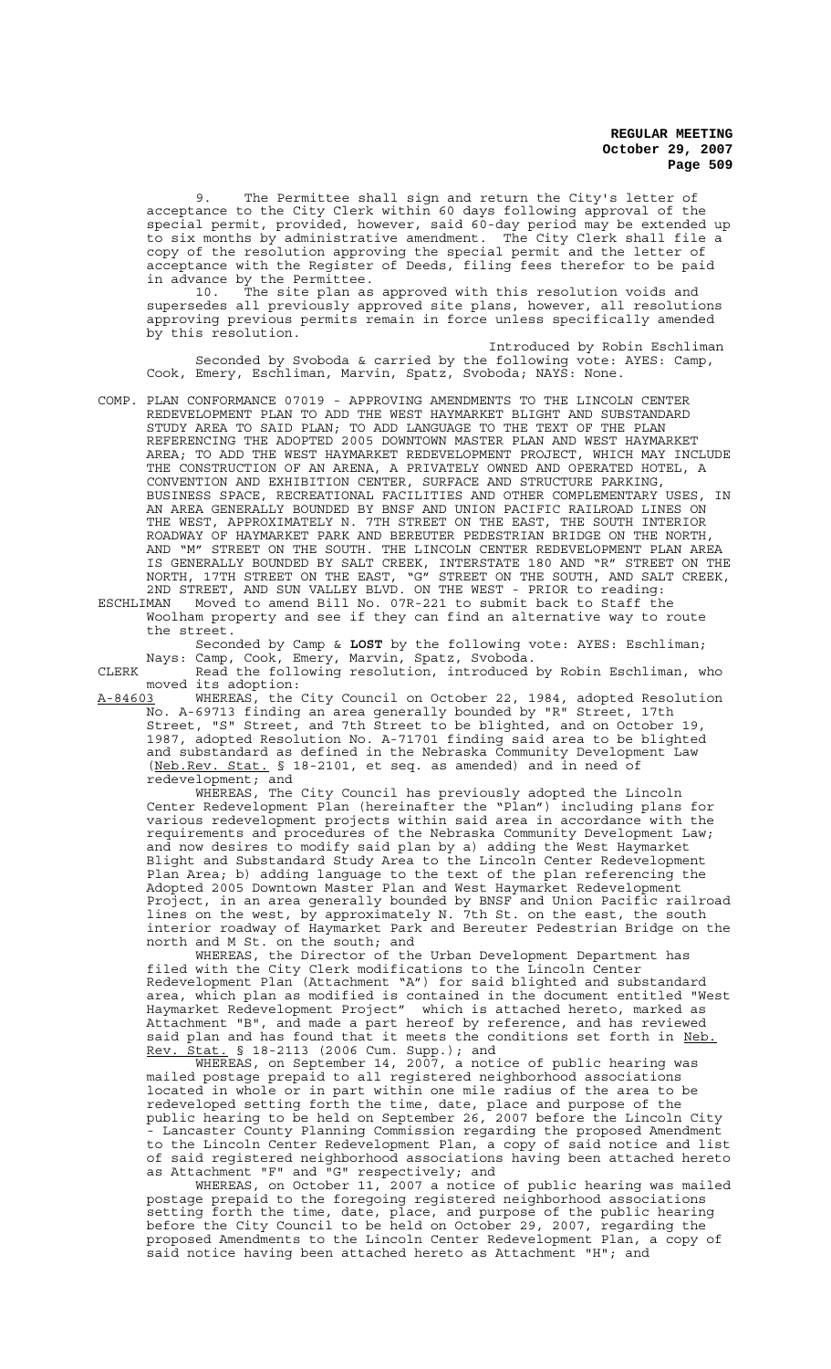9. The Permittee shall sign and return the City's letter of acceptance to the City Clerk within 60 days following approval of the special permit, provided, however, said 60-day period may be extended up to six months by administrative amendment. The City Clerk shall file a copy of the resolution approving the special permit and the letter of acceptance with the Register of Deeds, filing fees therefor to be paid in advance by the Permittee.

10. The site plan as approved with this resolution voids and supersedes all previously approved site plans, however, all resolutions approving previous permits remain in force unless specifically amended by this resolution.

Introduced by Robin Eschliman Seconded by Svoboda & carried by the following vote: AYES: Camp, Cook, Emery, Eschliman, Marvin, Spatz, Svoboda; NAYS: None.

COMP. PLAN CONFORMANCE 07019 - APPROVING AMENDMENTS TO THE LINCOLN CENTER REDEVELOPMENT PLAN TO ADD THE WEST HAYMARKET BLIGHT AND SUBSTANDARD STUDY AREA TO SAID PLAN; TO ADD LANGUAGE TO THE TEXT OF THE PLAN REFERENCING THE ADOPTED 2005 DOWNTOWN MASTER PLAN AND WEST HAYMARKET AREA; TO ADD THE WEST HAYMARKET REDEVELOPMENT PROJECT, WHICH MAY INCLUDE THE CONSTRUCTION OF AN ARENA, A PRIVATELY OWNED AND OPERATED HOTEL, A CONVENTION AND EXHIBITION CENTER, SURFACE AND STRUCTURE PARKING, BUSINESS SPACE, RECREATIONAL FACILITIES AND OTHER COMPLEMENTARY USES, IN AN AREA GENERALLY BOUNDED BY BNSF AND UNION PACIFIC RAILROAD LINES ON THE WEST, APPROXIMATELY N. 7TH STREET ON THE EAST, THE SOUTH INTERIOR ROADWAY OF HAYMARKET PARK AND BEREUTER PEDESTRIAN BRIDGE ON THE NORTH, AND "M" STREET ON THE SOUTH. THE LINCOLN CENTER REDEVELOPMENT PLAN AREA IS GENERALLY BOUNDED BY SALT CREEK, INTERSTATE 180 AND "R" STREET ON THE NORTH, 17TH STREET ON THE EAST, "G" STREET ON THE SOUTH, AND SALT CREEK, 2ND STREET, AND SUN VALLEY BLVD. ON THE WEST - PRIOR to reading: ESCHLIMAN Moved to amend Bill No. 07R-221 to submit back to Staff the

Woolham property and see if they can find an alternative way to route the street.

Seconded by Camp & **LOST** by the following vote: AYES: Eschliman; Nays: Camp, Cook, Emery, Marvin, Spatz, Svoboda.

CLERK The Read the following resolution, introduced by Robin Eschliman, who moved its adoption:

A-84603 WHEREAS, the City Council on October 22, 1984, adopted Resolution No. A-69713 finding an area generally bounded by "R" Street, 17th Street, "S" Street, and 7th Street to be blighted, and on October 19, 1987, adopted Resolution No. A-71701 finding said area to be blighted and substandard as defined in the Nebraska Community Development Law (Neb.Rev. Stat. § 18-2101, et seq. as amended) and in need of redevelopment; and

WHEREAS, The City Council has previously adopted the Lincoln Center Redevelopment Plan (hereinafter the "Plan") including plans for various redevelopment projects within said area in accordance with the requirements and procedures of the Nebraska Community Development Law; and now desires to modify said plan by a) adding the West Haymarket Blight and Substandard Study Area to the Lincoln Center Redevelopment Plan Area; b) adding language to the text of the plan referencing the Adopted 2005 Downtown Master Plan and West Haymarket Redevelopment Project, in an area generally bounded by BNSF and Union Pacific railroad lines on the west, by approximately N. 7th St. on the east, the south interior roadway of Haymarket Park and Bereuter Pedestrian Bridge on the north and M St. on the south; and

WHEREAS, the Director of the Urban Development Department has filed with the City Clerk modifications to the Lincoln Center Redevelopment Plan (Attachment "A") for said blighted and substandard area, which plan as modified is contained in the document entitled "West Haymarket Redevelopment Project" which is attached hereto, marked as Attachment "B", and made a part hereof by reference, and has reviewed said plan and has found that it meets the conditions set forth in Neb. Rev. Stat. § 18-2113 (2006 Cum. Supp.); and

WHEREAS, on September 14, 2007, a notice of public hearing was mailed postage prepaid to all registered neighborhood associations located in whole or in part within one mile radius of the area to be redeveloped setting forth the time, date, place and purpose of the public hearing to be held on September 26, 2007 before the Lincoln City - Lancaster County Planning Commission regarding the proposed Amendment to the Lincoln Center Redevelopment Plan, a copy of said notice and list of said registered neighborhood associations having been attached hereto as Attachment "F" and "G" respectively; and

WHEREAS, on October 11, 2007 a notice of public hearing was mailed postage prepaid to the foregoing registered neighborhood associations setting forth the time, date, place, and purpose of the public hearing before the City Council to be held on October 29, 2007, regarding the proposed Amendments to the Lincoln Center Redevelopment Plan, a copy of said notice having been attached hereto as Attachment "H"; and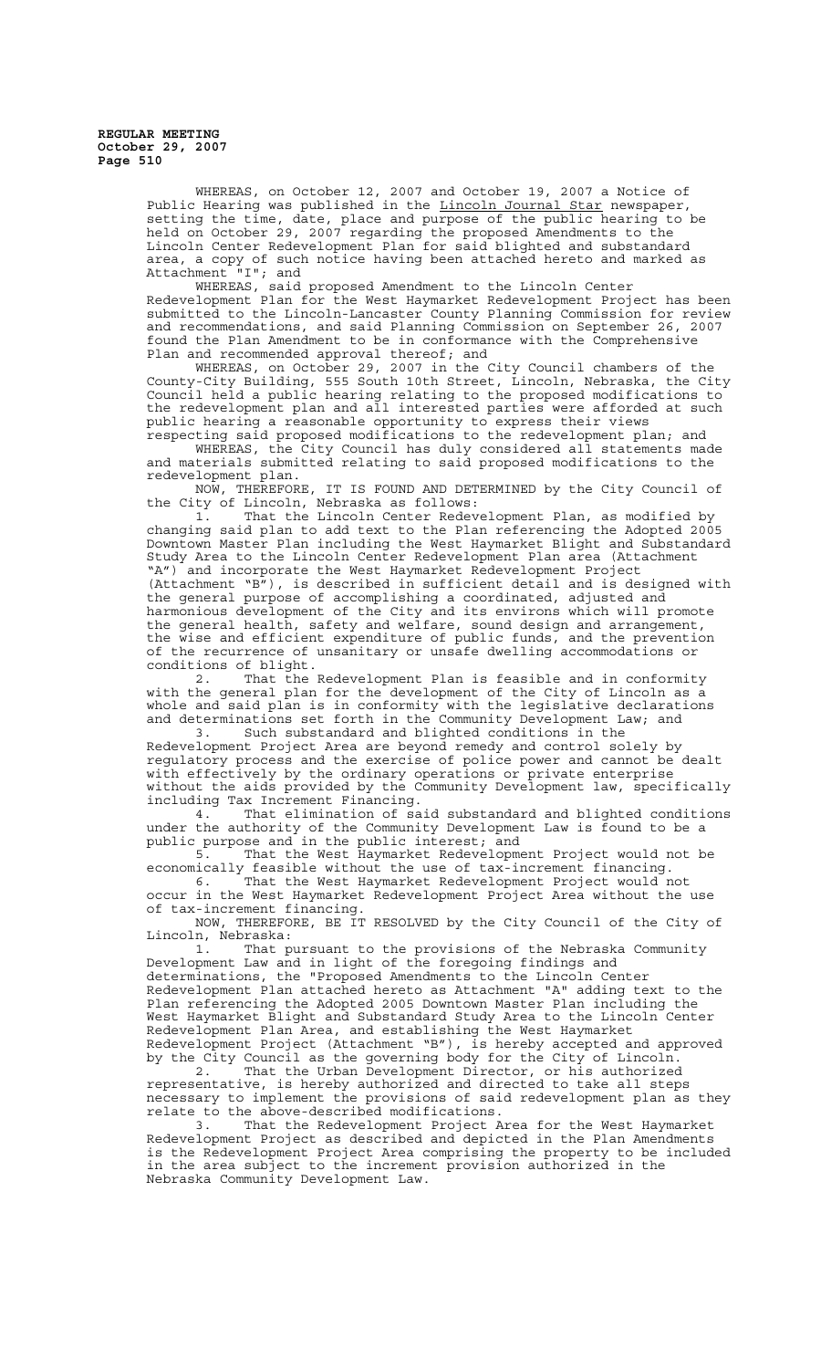> WHEREAS, on October 12, 2007 and October 19, 2007 a Notice of Public Hearing was published in the Lincoln Journal Star newspaper, setting the time, date, place and purpose of the public hearing to be held on October 29, 2007 regarding the proposed Amendments to the Lincoln Center Redevelopment Plan for said blighted and substandard area, a copy of such notice having been attached hereto and marked as Attachment "I"; and

WHEREAS, said proposed Amendment to the Lincoln Center Redevelopment Plan for the West Haymarket Redevelopment Project has been submitted to the Lincoln-Lancaster County Planning Commission for review and recommendations, and said Planning Commission on September 26, 2007 found the Plan Amendment to be in conformance with the Comprehensive Plan and recommended approval thereof; and

WHEREAS, on October 29, 2007 in the City Council chambers of the County-City Building, 555 South 10th Street, Lincoln, Nebraska, the City Council held a public hearing relating to the proposed modifications to the redevelopment plan and all interested parties were afforded at such public hearing a reasonable opportunity to express their views

respecting said proposed modifications to the redevelopment plan; and WHEREAS, the City Council has duly considered all statements made and materials submitted relating to said proposed modifications to the redevelopment plan.

NOW, THEREFORE, IT IS FOUND AND DETERMINED by the City Council of the City of Lincoln, Nebraska as follows:

1. That the Lincoln Center Redevelopment Plan, as modified by changing said plan to add text to the Plan referencing the Adopted 2005 Downtown Master Plan including the West Haymarket Blight and Substandard Study Area to the Lincoln Center Redevelopment Plan area (Attachment "A") and incorporate the West Haymarket Redevelopment Project  $(Attentionment "B")$ , is described in sufficient detail and is designed with the general purpose of accomplishing a coordinated, adjusted and harmonious development of the City and its environs which will promote the general health, safety and welfare, sound design and arrangement, the wise and efficient expenditure of public funds, and the prevention of the recurrence of unsanitary or unsafe dwelling accommodations or conditions of blight.<br>2. That the

That the Redevelopment Plan is feasible and in conformity with the general plan for the development of the City of Lincoln as a whole and said plan is in conformity with the legislative declarations and determinations set forth in the Community Development Law; and

3. Such substandard and blighted conditions in the Redevelopment Project Area are beyond remedy and control solely by regulatory process and the exercise of police power and cannot be dealt with effectively by the ordinary operations or private enterprise without the aids provided by the Community Development law, specifically including Tax Increment Financing.

4. That elimination of said substandard and blighted conditions under the authority of the Community Development Law is found to be a public purpose and in the public interest; and

5. That the West Haymarket Redevelopment Project would not be economically feasible without the use of tax-increment financing. 6. That the West Haymarket Redevelopment Project would not

occur in the West Haymarket Redevelopment Project Area without the use of tax-increment financing.

NOW, THEREFORE, BE IT RESOLVED by the City Council of the City of Lincoln, Nebraska:

1. That pursuant to the provisions of the Nebraska Community Development Law and in light of the foregoing findings and determinations, the "Proposed Amendments to the Lincoln Center Redevelopment Plan attached hereto as Attachment "A" adding text to the Plan referencing the Adopted 2005 Downtown Master Plan including the West Haymarket Blight and Substandard Study Area to the Lincoln Center Redevelopment Plan Area, and establishing the West Haymarket Redevelopment Project (Attachment "B"), is hereby accepted and approved

by the City Council as the governing body for the City of Lincoln.<br>2. That the Urban Development Director, or his authorized That the Urban Development Director, or his authorized representative, is hereby authorized and directed to take all steps necessary to implement the provisions of said redevelopment plan as they relate to the above-described modifications.

3. That the Redevelopment Project Area for the West Haymarket Redevelopment Project as described and depicted in the Plan Amendments is the Redevelopment Project Area comprising the property to be included in the area subject to the increment provision authorized in the Nebraska Community Development Law.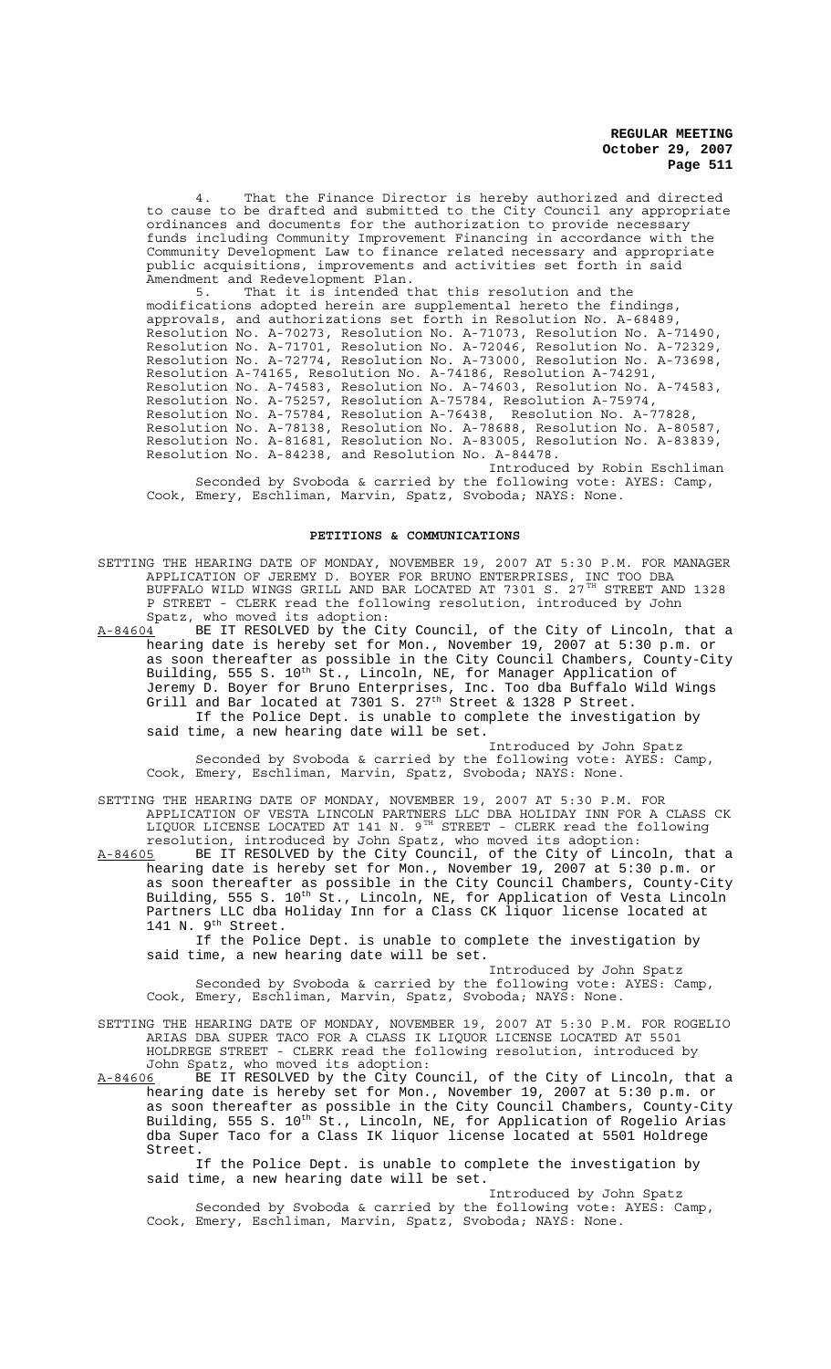4. That the Finance Director is hereby authorized and directed to cause to be drafted and submitted to the City Council any appropriate ordinances and documents for the authorization to provide necessary funds including Community Improvement Financing in accordance with the Community Development Law to finance related necessary and appropriate public acquisitions, improvements and activities set forth in said Amendment and Redevelopment Plan.

5. That it is intended that this resolution and the modifications adopted herein are supplemental hereto the findings, approvals, and authorizations set forth in Resolution No. A-68489, Resolution No. A-70273, Resolution No. A-71073, Resolution No. A-71490, Resolution No. A-71701, Resolution No. A-72046, Resolution No. A-72329, Resolution No. A-72774, Resolution No. A-73000, Resolution No. A-73698, Resolution A-74165, Resolution No. A-74186, Resolution A-74291, Resolution No. A-74583, Resolution No. A-74603, Resolution No. A-74583, Resolution No. A-75257, Resolution A-75784, Resolution A-75974, Resolution No. A-75784, Resolution A-76438, Resolution No. A-77828, Resolution No. A-78138, Resolution No. A-78688, Resolution No. A-80587, Resolution No. A-81681, Resolution No. A-83005, Resolution No. A-83839, Resolution No. A-84238, and Resolution No. A-84478.

Introduced by Robin Eschliman Seconded by Svoboda & carried by the following vote: AYES: Camp, Cook, Emery, Eschliman, Marvin, Spatz, Svoboda; NAYS: None.

## **PETITIONS & COMMUNICATIONS**

SETTING THE HEARING DATE OF MONDAY, NOVEMBER 19, 2007 AT 5:30 P.M. FOR MANAGER APPLICATION OF JEREMY D. BOYER FOR BRUNO ENTERPRISES, INC TOO DBA BUFFALO WILD WINGS GRILL AND BAR LOCATED AT 7301 S.  $27^{TH}$  STREET AND 1328 P STREET - CLERK read the following resolution, introduced by John Spatz, who moved its adoption:

A-84604 BE IT RESOLVED by the City Council, of the City of Lincoln, that a hearing date is hereby set for Mon., November 19, 2007 at 5:30 p.m. or as soon thereafter as possible in the City Council Chambers, County-City Building, 555 S. 10<sup>th</sup> St., Lincoln, NE, for Manager Application of Jeremy D. Boyer for Bruno Enterprises, Inc. Too dba Buffalo Wild Wings Grill and Bar located at  $7301$  S.  $27<sup>th</sup>$  Street & 1328 P Street. If the Police Dept. is unable to complete the investigation by said time, a new hearing date will be set.

Introduced by John Spatz Seconded by Svoboda & carried by the following vote: AYES: Camp, Cook, Emery, Eschliman, Marvin, Spatz, Svoboda; NAYS: None.

SETTING THE HEARING DATE OF MONDAY, NOVEMBER 19, 2007 AT 5:30 P.M. FOR APPLICATION OF VESTA LINCOLN PARTNERS LLC DBA HOLIDAY INN FOR A CLASS CK LIQUOR LICENSE LOCATED AT 141 N.  $9^{TH}$  STREET - CLERK read the following resolution, introduced by John Spatz, who moved its adoption:

A-84605 BE IT RESOLVED by the City Council, of the City of Lincoln, that a hearing date is hereby set for Mon., November 19, 2007 at 5:30 p.m. or as soon thereafter as possible in the City Council Chambers, County-City Building, 555 S. 10<sup>th</sup> St., Lincoln, NE, for Application of Vesta Lincoln Partners LLC dba Holiday Inn for a Class CK liquor license located at 141 N. 9<sup>th</sup> Street.

If the Police Dept. is unable to complete the investigation by said time, a new hearing date will be set.

Introduced by John Spatz Seconded by Svoboda & carried by the following vote: AYES: Camp, Cook, Emery, Eschliman, Marvin, Spatz, Svoboda; NAYS: None.

SETTING THE HEARING DATE OF MONDAY, NOVEMBER 19, 2007 AT 5:30 P.M. FOR ROGELIO ARIAS DBA SUPER TACO FOR A CLASS IK LIQUOR LICENSE LOCATED AT 5501 HOLDREGE STREET - CLERK read the following resolution, introduced by

John Spatz, who moved its adoption:<br>A-84606 BE IT RESOLVED by the City Co BE IT RESOLVED by the City Council, of the City of Lincoln, that a hearing date is hereby set for Mon., November 19, 2007 at 5:30 p.m. or as soon thereafter as possible in the City Council Chambers, County-City Building, 555 S. 10<sup>th</sup> St., Lincoln, NE, for Application of Rogelio Arias dba Super Taco for a Class IK liquor license located at 5501 Holdrege Street.

If the Police Dept. is unable to complete the investigation by said time, a new hearing date will be set.

Introduced by John Spatz Seconded by Svoboda & carried by the following vote: AYES: Camp, Cook, Emery, Eschliman, Marvin, Spatz, Svoboda; NAYS: None.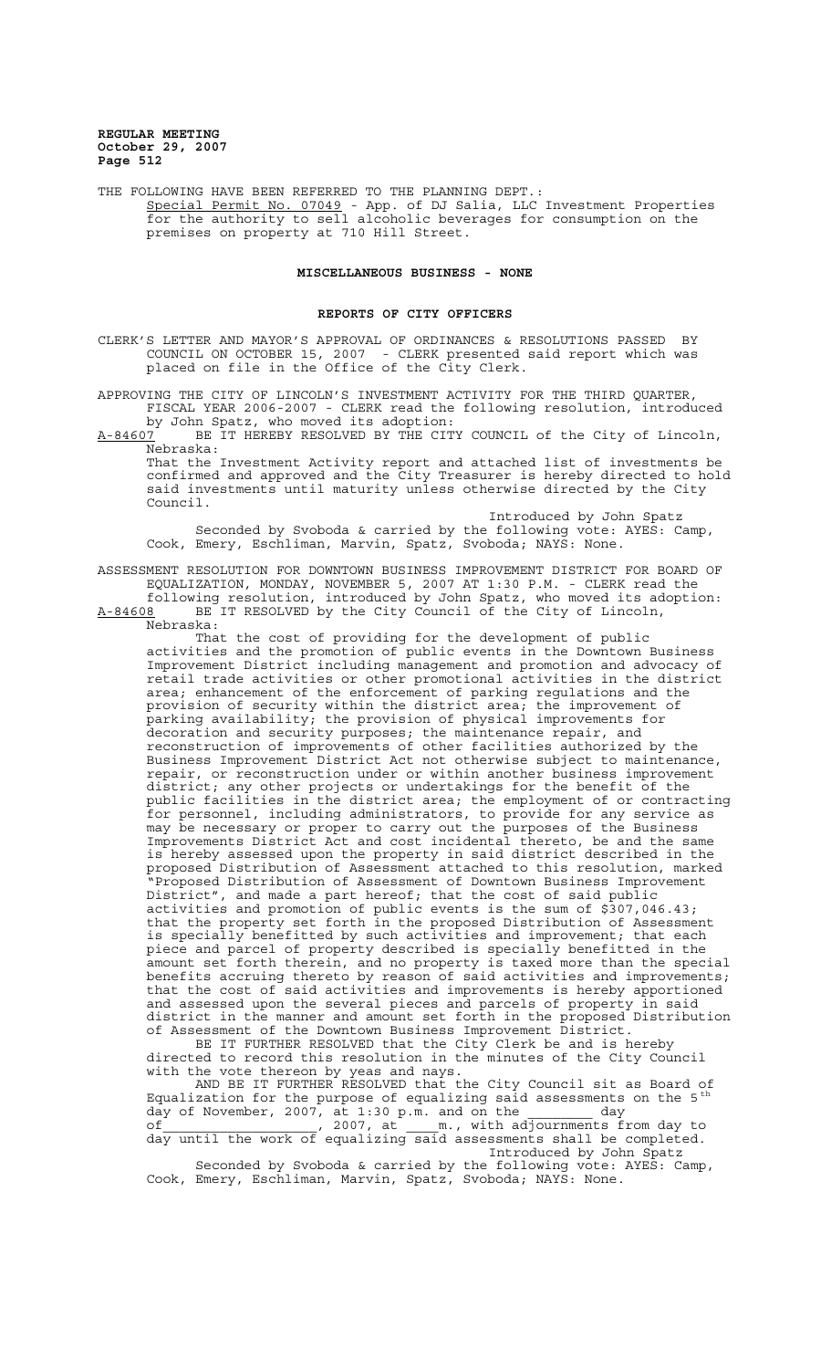THE FOLLOWING HAVE BEEN REFERRED TO THE PLANNING DEPT.: Special Permit No. 07049 - App. of DJ Salia, LLC Investment Properties for the authority to sell alcoholic beverages for consumption on the premises on property at 710 Hill Street.

### **MISCELLANEOUS BUSINESS - NONE**

#### **REPORTS OF CITY OFFICERS**

CLERK'S LETTER AND MAYOR'S APPROVAL OF ORDINANCES & RESOLUTIONS PASSED BY COUNCIL ON OCTOBER 15, 2007 - CLERK presented said report which was placed on file in the Office of the City Clerk.

APPROVING THE CITY OF LINCOLN'S INVESTMENT ACTIVITY FOR THE THIRD QUARTER, FISCAL YEAR 2006-2007 - CLERK read the following resolution, introduced by John Spatz, who moved its adoption:

A-84607 BE IT HEREBY RESOLVED BY THE CITY COUNCIL of the City of Lincoln,  $A-84607$  BE<br>Nebraska:

That the Investment Activity report and attached list of investments be confirmed and approved and the City Treasurer is hereby directed to hold said investments until maturity unless otherwise directed by the City Council.

Introduced by John Spatz Seconded by Svoboda & carried by the following vote: AYES: Camp, Cook, Emery, Eschliman, Marvin, Spatz, Svoboda; NAYS: None.

ASSESSMENT RESOLUTION FOR DOWNTOWN BUSINESS IMPROVEMENT DISTRICT FOR BOARD OF EQUALIZATION, MONDAY, NOVEMBER 5, 2007 AT 1:30 P.M. - CLERK read the

following resolution, introduced by John Spatz, who moved its adoption: A-84608 BE IT RESOLVED by the City Council of the City of Lincoln, Nebraska:

That the cost of providing for the development of public activities and the promotion of public events in the Downtown Business Improvement District including management and promotion and advocacy of retail trade activities or other promotional activities in the district area; enhancement of the enforcement of parking regulations and the provision of security within the district area; the improvement of parking availability; the provision of physical improvements for decoration and security purposes; the maintenance repair, and reconstruction of improvements of other facilities authorized by the Business Improvement District Act not otherwise subject to maintenance, repair, or reconstruction under or within another business improvement district; any other projects or undertakings for the benefit of the public facilities in the district area; the employment of or contracting for personnel, including administrators, to provide for any service as may be necessary or proper to carry out the purposes of the Business Improvements District Act and cost incidental thereto, be and the same is hereby assessed upon the property in said district described in the proposed Distribution of Assessment attached to this resolution, marked "Proposed Distribution of Assessment of Downtown Business Improvement District", and made a part hereof; that the cost of said public activities and promotion of public events is the sum of \$307,046.43; that the property set forth in the proposed Distribution of Assessment is specially benefitted by such activities and improvement; that each piece and parcel of property described is specially benefitted in the amount set forth therein, and no property is taxed more than the special benefits accruing thereto by reason of said activities and improvements; that the cost of said activities and improvements is hereby apportioned and assessed upon the several pieces and parcels of property in said district in the manner and amount set forth in the proposed Distribution of Assessment of the Downtown Business Improvement District.

BE IT FURTHER RESOLVED that the City Clerk be and is hereby directed to record this resolution in the minutes of the City Council with the vote thereon by yeas and nays.

AND BE IT FURTHER RESOLVED that the City Council sit as Board of Equalization for the purpose of equalizing said assessments on the 5<sup>th</sup> day of November, 2007, at 1:30 p.m. and on the day

of the contract of the contract of the contract of the contract of the contract of the contract of the contract of the contract of the contract of the contract of the contract of the contract of the contract of the contrac day until the work of equalizing said assessments shall be completed. Introduced by John Spatz

Seconded by Svoboda & carried by the following vote:  $AYES: Camp$ , Cook, Emery, Eschliman, Marvin, Spatz, Svoboda; NAYS: None.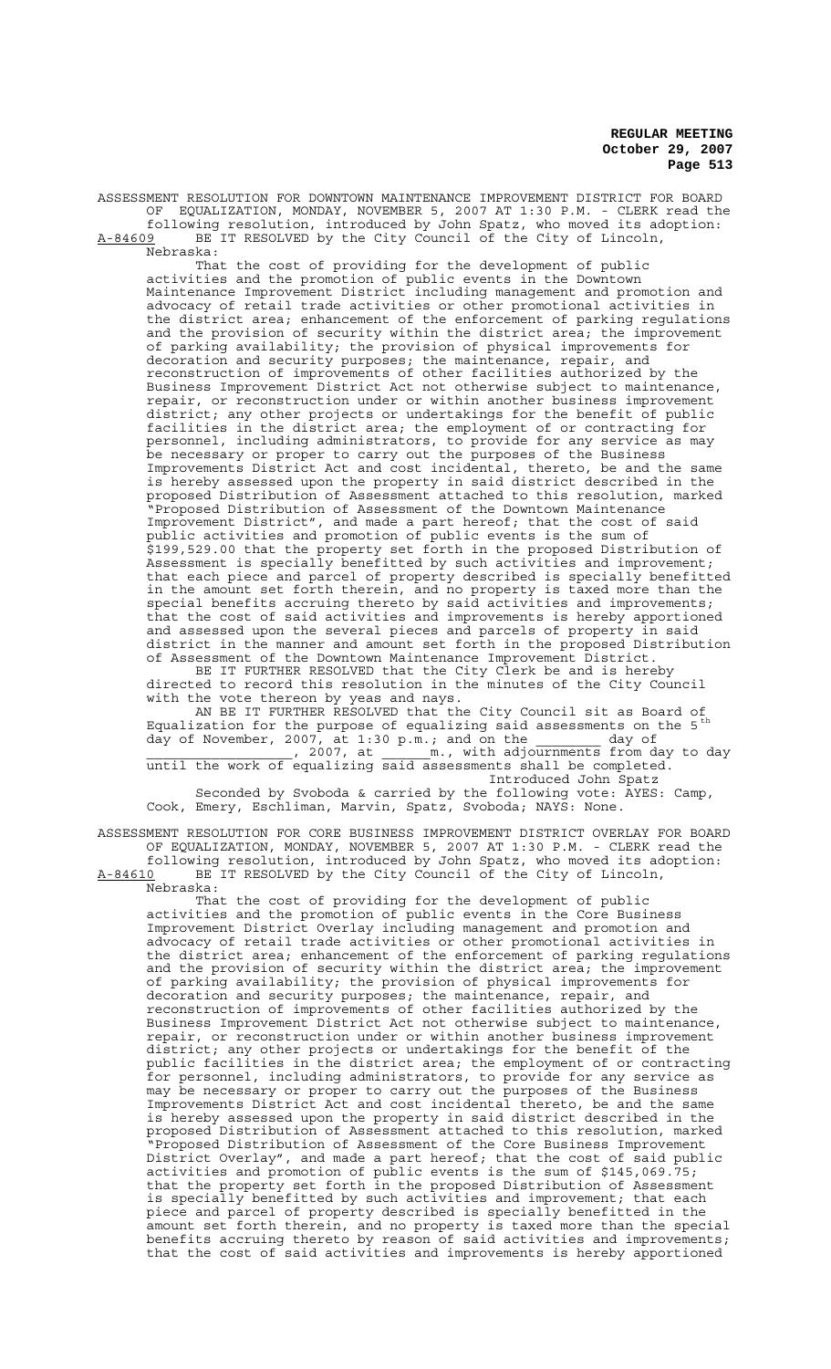ASSESSMENT RESOLUTION FOR DOWNTOWN MAINTENANCE IMPROVEMENT DISTRICT FOR BOARD OF EQUALIZATION, MONDAY, NOVEMBER 5, 2007 AT 1:30 P.M. - CLERK read the following resolution, introduced by John Spatz, who moved its adoption:

A-84609 BE IT RESOLVED by the City Council of the City of Lincoln, Nebraska:

That the cost of providing for the development of public activities and the promotion of public events in the Downtown Maintenance Improvement District including management and promotion and advocacy of retail trade activities or other promotional activities in the district area; enhancement of the enforcement of parking regulations and the provision of security within the district area; the improvement of parking availability; the provision of physical improvements for decoration and security purposes; the maintenance, repair, and reconstruction of improvements of other facilities authorized by the Business Improvement District Act not otherwise subject to maintenance, repair, or reconstruction under or within another business improvement district; any other projects or undertakings for the benefit of public facilities in the district area; the employment of or contracting for personnel, including administrators, to provide for any service as may be necessary or proper to carry out the purposes of the Business Improvements District Act and cost incidental, thereto, be and the same is hereby assessed upon the property in said district described in the proposed Distribution of Assessment attached to this resolution, marked "Proposed Distribution of Assessment of the Downtown Maintenance Improvement District", and made a part hereof; that the cost of said public activities and promotion of public events is the sum of \$199,529.00 that the property set forth in the proposed Distribution of Assessment is specially benefitted by such activities and improvement; that each piece and parcel of property described is specially benefitted in the amount set forth therein, and no property is taxed more than the special benefits accruing thereto by said activities and improvements; that the cost of said activities and improvements is hereby apportioned and assessed upon the several pieces and parcels of property in said district in the manner and amount set forth in the proposed Distribution of Assessment of the Downtown Maintenance Improvement District.

BE IT FURTHER RESOLVED that the City Clerk be and is hereby directed to record this resolution in the minutes of the City Council with the vote thereon by yeas and nays.

AN BE IT FURTHER RESOLVED that the City Council sit as Board of Equalization for the purpose of equalizing said assessments on the 5<sup>th</sup> day of November, 2007, at 1:30 p.m.; and on the  $\frac{1}{2}$  day of , 2007, at m., with adjournments from day to day ded a good means of the state of the state of the state of the state of the state of the state of the state of the state of the state of the state of the state of the state of the state of the state of the state of the sta

until the work of equalizing said assessments shall be completed. Introduced John Spatz

Seconded by Svoboda & carried by the following vote: AYES: Camp, Cook, Emery, Eschliman, Marvin, Spatz, Svoboda; NAYS: None.

ASSESSMENT RESOLUTION FOR CORE BUSINESS IMPROVEMENT DISTRICT OVERLAY FOR BOARD OF EQUALIZATION, MONDAY, NOVEMBER 5, 2007 AT 1:30 P.M. - CLERK read the following resolution, introduced by John Spatz, who moved its adoption: A-84610 BE IT RESOLVED by the City Council of the City of Lincoln,  $A-84610$  BE<br>Nebraska:

That the cost of providing for the development of public activities and the promotion of public events in the Core Business Improvement District Overlay including management and promotion and advocacy of retail trade activities or other promotional activities in the district area; enhancement of the enforcement of parking regulations and the provision of security within the district area; the improvement of parking availability; the provision of physical improvements for decoration and security purposes; the maintenance, repair, and reconstruction of improvements of other facilities authorized by the Business Improvement District Act not otherwise subject to maintenance, repair, or reconstruction under or within another business improvement district; any other projects or undertakings for the benefit of the public facilities in the district area; the employment of or contracting for personnel, including administrators, to provide for any service as may be necessary or proper to carry out the purposes of the Business Improvements District Act and cost incidental thereto, be and the same is hereby assessed upon the property in said district described in the proposed Distribution of Assessment attached to this resolution, marked "Proposed Distribution of Assessment of the Core Business Improvement District Overlay", and made a part hereof; that the cost of said public activities and promotion of public events is the sum of \$145,069.75; that the property set forth in the proposed Distribution of Assessment is specially benefitted by such activities and improvement; that each piece and parcel of property described is specially benefitted in the amount set forth therein, and no property is taxed more than the special benefits accruing thereto by reason of said activities and improvements; that the cost of said activities and improvements is hereby apportioned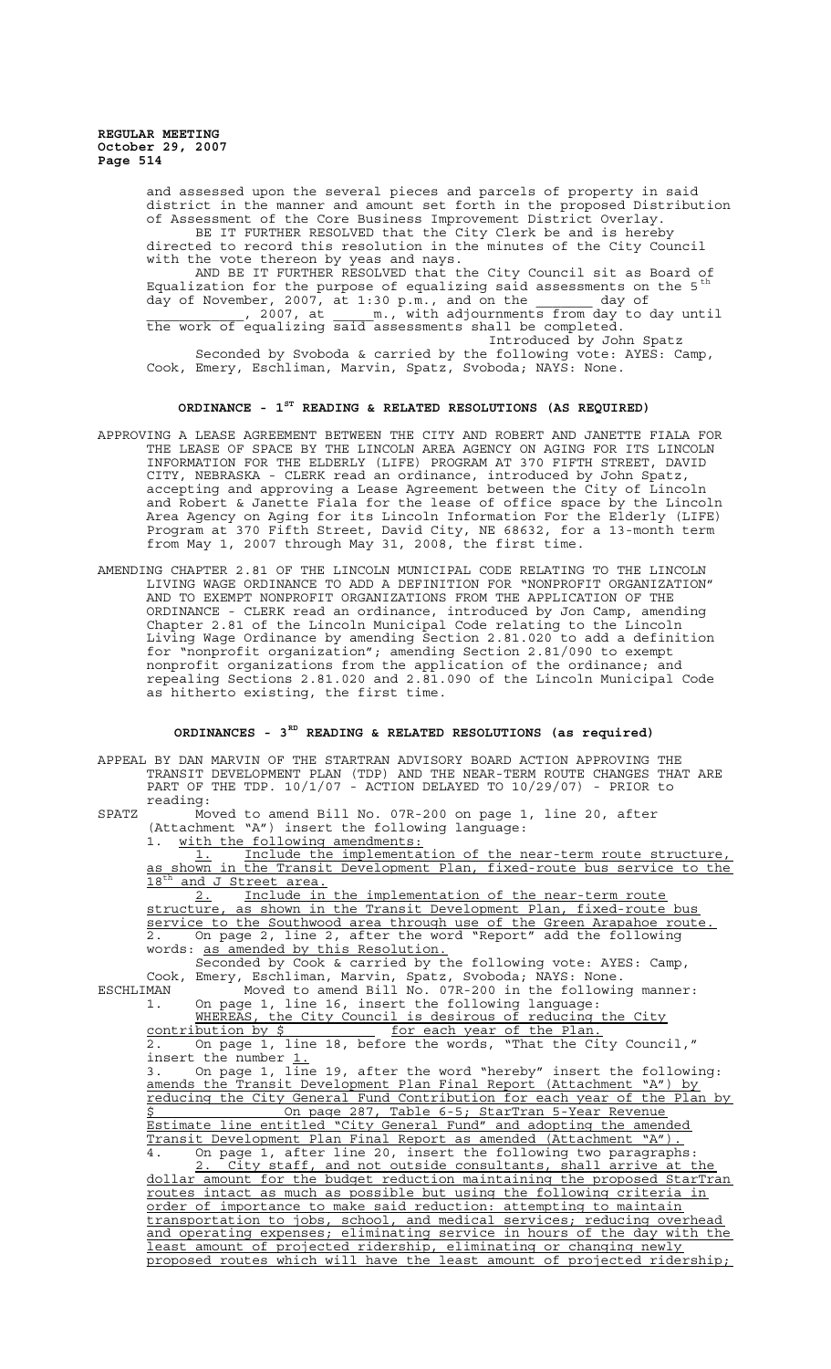> and assessed upon the several pieces and parcels of property in said district in the manner and amount set forth in the proposed Distribution of Assessment of the Core Business Improvement District Overlay. BE IT FURTHER RESOLVED that the City Clerk be and is hereby directed to record this resolution in the minutes of the City Council with the vote thereon by yeas and nays. AND BE IT FURTHER RESOLVED that the City Council sit as Board of Equalization for the purpose of equalizing said assessments on the 5  $^{\rm th}$ day of November, 2007, at 1:30 p.m., and on the  $\qquad \qquad$  day of port 2007, at all adjournments from day to day until the work of equalizing said assessments shall be completed. Introduced by John Spatz Seconded by Svoboda & carried by the following vote: AYES: Camp, Cook, Emery, Eschliman, Marvin, Spatz, Svoboda; NAYS: None.

# **ORDINANCE - 1ST READING & RELATED RESOLUTIONS (AS REQUIRED)**

- APPROVING A LEASE AGREEMENT BETWEEN THE CITY AND ROBERT AND JANETTE FIALA FOR THE LEASE OF SPACE BY THE LINCOLN AREA AGENCY ON AGING FOR ITS LINCOLN INFORMATION FOR THE ELDERLY (LIFE) PROGRAM AT 370 FIFTH STREET, DAVID CITY, NEBRASKA - CLERK read an ordinance, introduced by John Spatz, accepting and approving a Lease Agreement between the City of Lincoln and Robert & Janette Fiala for the lease of office space by the Lincoln Area Agency on Aging for its Lincoln Information For the Elderly (LIFE) Program at 370 Fifth Street, David City, NE 68632, for a 13-month term from May 1, 2007 through May 31, 2008, the first time.
- AMENDING CHAPTER 2.81 OF THE LINCOLN MUNICIPAL CODE RELATING TO THE LINCOLN LIVING WAGE ORDINANCE TO ADD A DEFINITION FOR "NONPROFIT ORGANIZATION" AND TO EXEMPT NONPROFIT ORGANIZATIONS FROM THE APPLICATION OF THE ORDINANCE - CLERK read an ordinance, introduced by Jon Camp, amending Chapter 2.81 of the Lincoln Municipal Code relating to the Lincoln Living Wage Ordinance by amending Section 2.81.020 to add a definition for "nonprofit organization"; amending Section 2.81/090 to exempt nonprofit organizations from the application of the ordinance; and repealing Sections 2.81.020 and 2.81.090 of the Lincoln Municipal Code as hitherto existing, the first time.

# **ORDINANCES - 3RD READING & RELATED RESOLUTIONS (as required)**

APPEAL BY DAN MARVIN OF THE STARTRAN ADVISORY BOARD ACTION APPROVING THE TRANSIT DEVELOPMENT PLAN (TDP) AND THE NEAR-TERM ROUTE CHANGES THAT ARE PART OF THE TDP. 10/1/07 - ACTION DELAYED TO 10/29/07) - PRIOR to reading:

SPATZ Moved to amend Bill No. 07R-200 on page 1, line 20, after (Attachment "A") insert the following language: 1. with the following amendments:

1. Include the implementation of the near-term route structure, as shown in the Transit Development Plan, fixed-route bus service to the 18<sup>th</sup> and J Street area.

2. Include in the implementation of the near-term route structure, as shown in the Transit Development Plan, fixed-route bus service to the Southwood area through use of the Green Arapahoe route. 2. On page 2, line 2, after the word "Report" add the following words: as amended by this Resolution.

Seconded by Cook & carried by the following vote: AYES: Camp, Cook, Emery, Eschliman, Marvin, Spatz, Svoboda; NAYS: None.

ESCHLIMAN Moved to amend Bill No. 07R-200 in the following manner: 1. On page 1, line 16, insert the following language:

WHEREAS, the City Council is desirous of reducing the City contribution by \$ for each year of the Plan. 2. On page 1, line 18, before the words, "That the City Council,"

insert the number  $1.$ 

3. On page 1, line 19, after the word "hereby" insert the following: amends the Transit Development Plan Final Report (Attachment "A") by reducing the City General Fund Contribution for each year of the Plan by On page 287, Table 6-5; StarTran 5-Year Revenue Estimate line entitled "City General Fund" and adopting the amended Transit Development Plan Final Report as amended (Attachment "A"). 4. On page 1, after line 20, insert the following two paragraphs:

2. City staff, and not outside consultants, shall arrive at the dollar amount for the budget reduction maintaining the proposed StarTran routes intact as much as possible but using the following criteria in order of importance to make said reduction: attempting to maintain transportation to jobs, school, and medical services; reducing overhead and operating expenses; eliminating service in hours of the day with the least amount of projected ridership, eliminating or changing newly proposed routes which will have the least amount of projected ridership;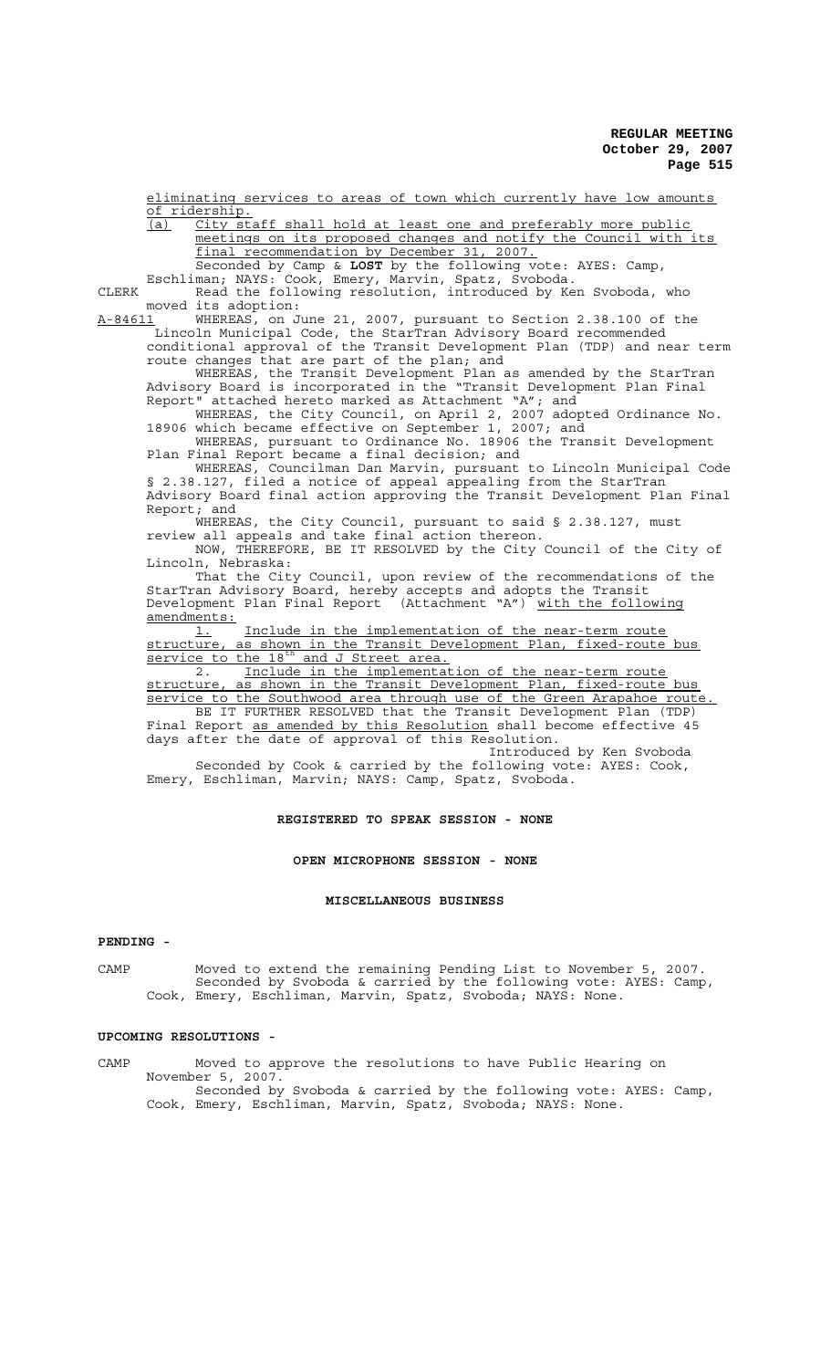eliminating services to areas of town which currently have low amounts of ridership.

(a) City staff shall hold at least one and preferably more public meetings on its proposed changes and notify the Council with its final recommendation by December 31, 2007. Seconded by Camp & **LOST** by the following vote: AYES: Camp,

Eschliman; NAYS: Cook, Emery, Marvin, Spatz, Svoboda. CLERK Read the following resolution, introduced by Ken Svoboda, who

moved its adoption:<br>A-84611 WHEREAS, on J

A-84611 WHEREAS, on June 21, 2007, pursuant to Section 2.38.100 of the Lincoln Municipal Code, the StarTran Advisory Board recommended conditional approval of the Transit Development Plan (TDP) and near term route changes that are part of the plan; and

WHEREAS, the Transit Development Plan as amended by the StarTran Advisory Board is incorporated in the "Transit Development Plan Final Report" attached hereto marked as Attachment "A"; and

WHEREAS, the City Council, on April 2, 2007 adopted Ordinance No. 18906 which became effective on September 1, 2007; and

WHEREAS, pursuant to Ordinance No. 18906 the Transit Development Plan Final Report became a final decision; and

WHEREAS, Councilman Dan Marvin, pursuant to Lincoln Municipal Code § 2.38.127, filed a notice of appeal appealing from the StarTran Advisory Board final action approving the Transit Development Plan Final Report; and

WHEREAS, the City Council, pursuant to said § 2.38.127, must review all appeals and take final action thereon.

NOW, THEREFORE, BE IT RESOLVED by the City Council of the City of Lincoln, Nebraska:

That the City Council, upon review of the recommendations of the StarTran Advisory Board, hereby accepts and adopts the Transit Development Plan Final Report (Attachment "A") with the following amendments:

1. Include in the implementation of the near-term route structure, as shown in the Transit Development Plan, fixed-route bus service to the 18<sup>th</sup> and J Street area.

<u>BELVICE CO CHC IS AND SURVERTILED</u><br>2. Include in the implementation of the near-term route<br>structure, as shown in the Transit Development Plan, fixed-route as shown in the Transit Development Plan, fixed-route bus service to the Southwood area through use of the Green Arapahoe route. BE IT FURTHER RESOLVED that the Transit Development Plan (TDP) Final Report as amended by this Resolution shall become effective 45 days after the date of approval of this Resolution.

Introduced by Ken Svoboda Seconded by Cook & carried by the following vote: AYES: Cook, Emery, Eschliman, Marvin; NAYS: Camp, Spatz, Svoboda.

### **REGISTERED TO SPEAK SESSION - NONE**

### **OPEN MICROPHONE SESSION - NONE**

### **MISCELLANEOUS BUSINESS**

### **PENDING -**

CAMP Moved to extend the remaining Pending List to November 5, 2007. Seconded by Svoboda & carried by the following vote: AYES: Camp, Cook, Emery, Eschliman, Marvin, Spatz, Svoboda; NAYS: None.

## **UPCOMING RESOLUTIONS -**

CAMP Moved to approve the resolutions to have Public Hearing on November 5, 2007. Seconded by Svoboda & carried by the following vote: AYES: Camp, Cook, Emery, Eschliman, Marvin, Spatz, Svoboda; NAYS: None.